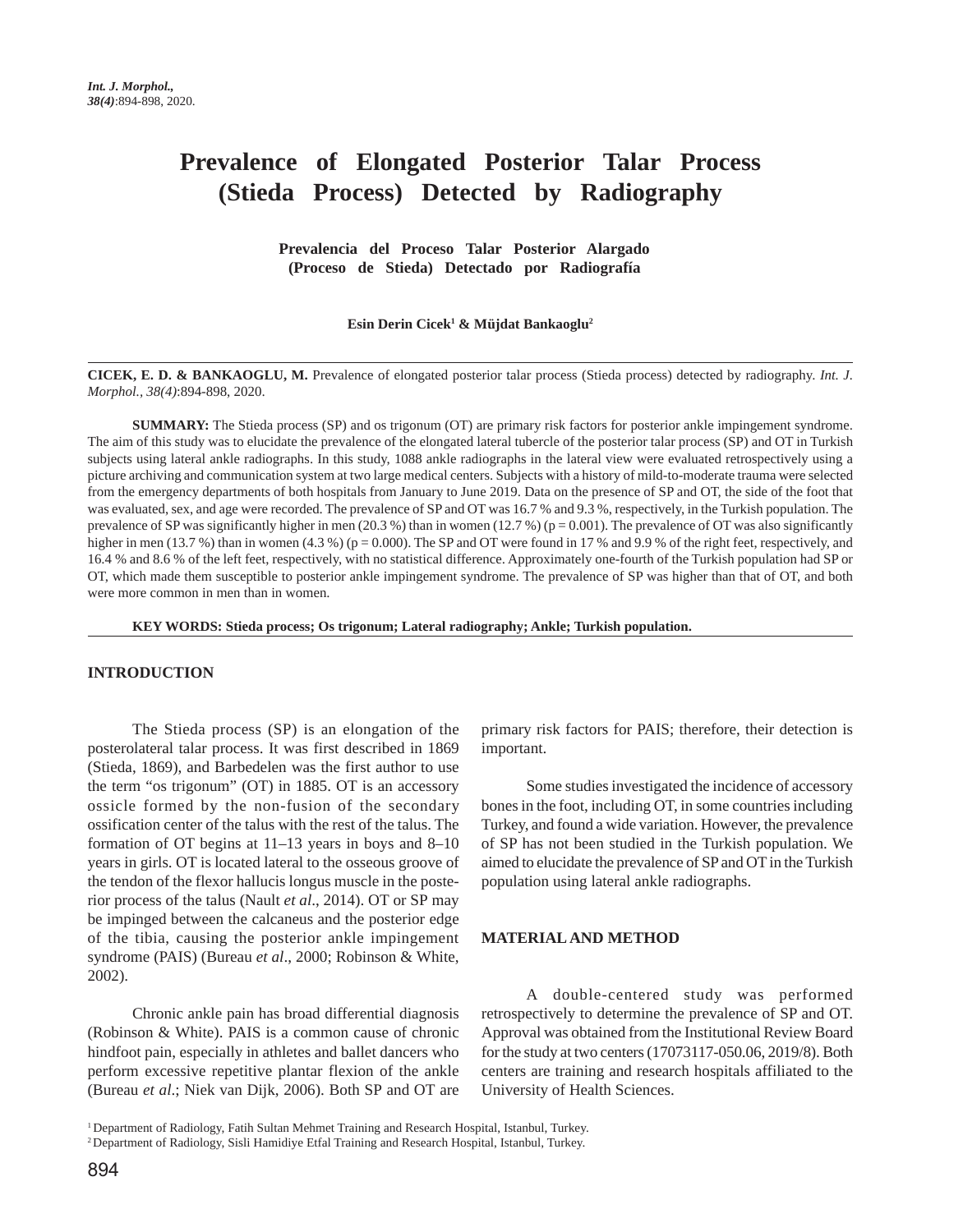# **Prevalence of Elongated Posterior Talar Process (Stieda Process) Detected by Radiography**

 **Prevalencia del Proceso Talar Posterior Alargado (Proceso de Stieda) Detectado por Radiografía** 

**Esin Derin Cicek1 & Müjdat Bankaoglu2**

**CICEK, E. D. & BANKAOGLU, M.** Prevalence of elongated posterior talar process (Stieda process) detected by radiography. *Int. J. Morphol., 38(4)*:894-898, 2020.

**SUMMARY:** The Stieda process (SP) and os trigonum (OT) are primary risk factors for posterior ankle impingement syndrome. The aim of this study was to elucidate the prevalence of the elongated lateral tubercle of the posterior talar process (SP) and OT in Turkish subjects using lateral ankle radiographs. In this study, 1088 ankle radiographs in the lateral view were evaluated retrospectively using a picture archiving and communication system at two large medical centers. Subjects with a history of mild-to-moderate trauma were selected from the emergency departments of both hospitals from January to June 2019. Data on the presence of SP and OT, the side of the foot that was evaluated, sex, and age were recorded. The prevalence of SP and OT was 16.7 % and 9.3 %, respectively, in the Turkish population. The prevalence of SP was significantly higher in men (20.3 %) than in women (12.7 %) ( $p = 0.001$ ). The prevalence of OT was also significantly higher in men (13.7 %) than in women (4.3 %) ( $p = 0.000$ ). The SP and OT were found in 17 % and 9.9 % of the right feet, respectively, and 16.4 % and 8.6 % of the left feet, respectively, with no statistical difference. Approximately one-fourth of the Turkish population had SP or OT, which made them susceptible to posterior ankle impingement syndrome. The prevalence of SP was higher than that of OT, and both were more common in men than in women.

**KEY WORDS: Stieda process; Os trigonum; Lateral radiography; Ankle; Turkish population.**

### **INTRODUCTION**

The Stieda process (SP) is an elongation of the posterolateral talar process. It was first described in 1869 (Stieda, 1869), and Barbedelen was the first author to use the term "os trigonum" (OT) in 1885. OT is an accessory ossicle formed by the non-fusion of the secondary ossification center of the talus with the rest of the talus. The formation of OT begins at 11–13 years in boys and 8–10 years in girls. OT is located lateral to the osseous groove of the tendon of the flexor hallucis longus muscle in the posterior process of the talus (Nault *et al*., 2014). OT or SP may be impinged between the calcaneus and the posterior edge of the tibia, causing the posterior ankle impingement syndrome (PAIS) (Bureau *et al*., 2000; Robinson & White, 2002).

Chronic ankle pain has broad differential diagnosis (Robinson & White). PAIS is a common cause of chronic hindfoot pain, especially in athletes and ballet dancers who perform excessive repetitive plantar flexion of the ankle (Bureau *et al*.; Niek van Dijk, 2006). Both SP and OT are

primary risk factors for PAIS; therefore, their detection is important.

Some studies investigated the incidence of accessory bones in the foot, including OT, in some countries including Turkey, and found a wide variation. However, the prevalence of SP has not been studied in the Turkish population. We aimed to elucidate the prevalence of SP and OT in the Turkish population using lateral ankle radiographs.

## **MATERIAL AND METHOD**

A double-centered study was performed retrospectively to determine the prevalence of SP and OT. Approval was obtained from the Institutional Review Board for the study at two centers (17073117-050.06, 2019/8). Both centers are training and research hospitals affiliated to the University of Health Sciences.

1 Department of Radiology, Fatih Sultan Mehmet Training and Research Hospital, Istanbul, Turkey.

<sup>2</sup> Department of Radiology, Sisli Hamidiye Etfal Training and Research Hospital, Istanbul, Turkey.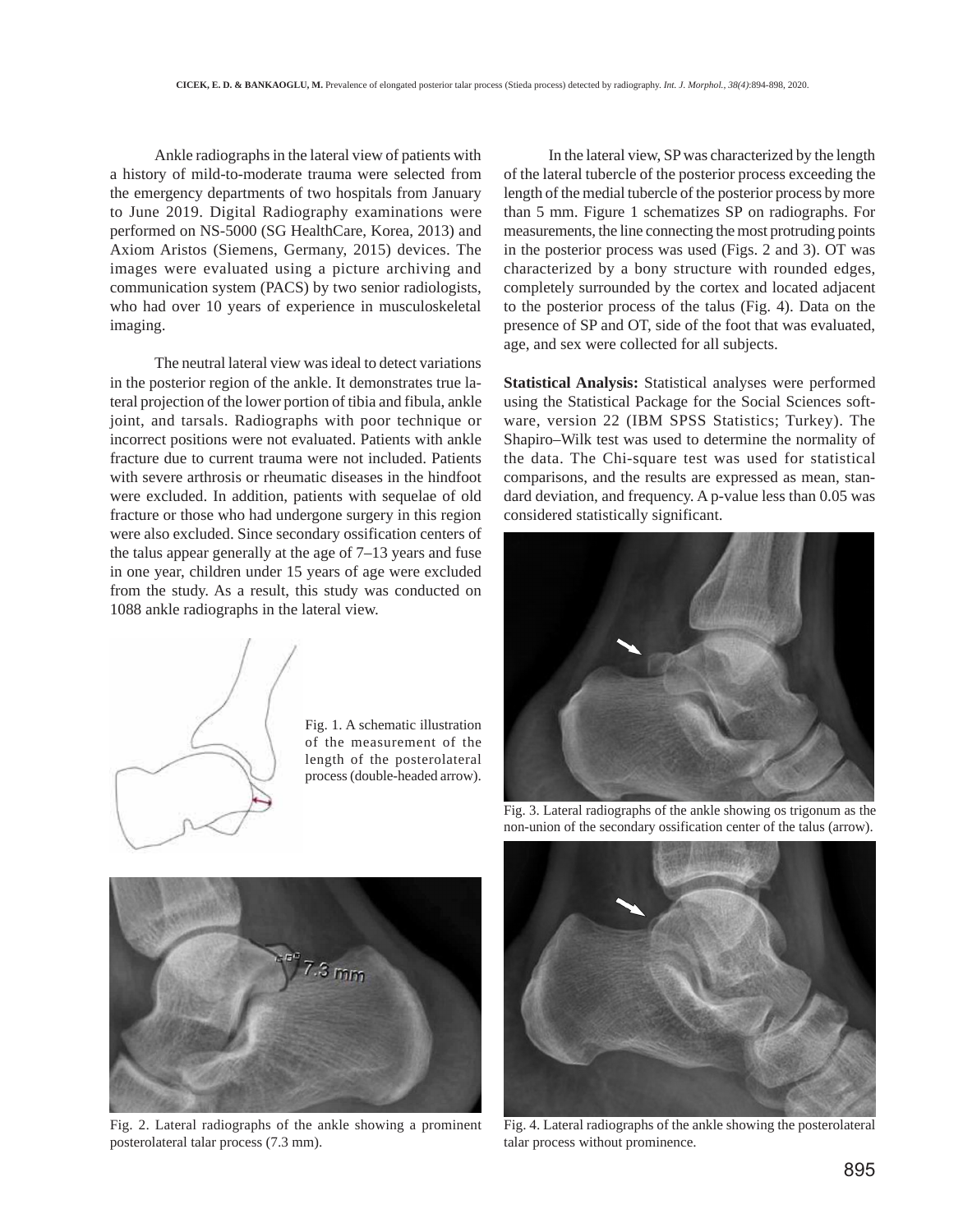Ankle radiographs in the lateral view of patients with a history of mild-to-moderate trauma were selected from the emergency departments of two hospitals from January to June 2019. Digital Radiography examinations were performed on NS-5000 (SG HealthCare, Korea, 2013) and Axiom Aristos (Siemens, Germany, 2015) devices. The images were evaluated using a picture archiving and communication system (PACS) by two senior radiologists, who had over 10 years of experience in musculoskeletal imaging.

The neutral lateral view was ideal to detect variations in the posterior region of the ankle. It demonstrates true lateral projection of the lower portion of tibia and fibula, ankle joint, and tarsals. Radiographs with poor technique or incorrect positions were not evaluated. Patients with ankle fracture due to current trauma were not included. Patients with severe arthrosis or rheumatic diseases in the hindfoot were excluded. In addition, patients with sequelae of old fracture or those who had undergone surgery in this region were also excluded. Since secondary ossification centers of the talus appear generally at the age of 7–13 years and fuse in one year, children under 15 years of age were excluded from the study. As a result, this study was conducted on 1088 ankle radiographs in the lateral view.



Fig. 1. A schematic illustration of the measurement of the length of the posterolateral process (double-headed arrow).

In the lateral view, SP was characterized by the length of the lateral tubercle of the posterior process exceeding the length of the medial tubercle of the posterior process by more than 5 mm. Figure 1 schematizes SP on radiographs. For measurements, the line connecting the most protruding points in the posterior process was used (Figs. 2 and 3). OT was characterized by a bony structure with rounded edges, completely surrounded by the cortex and located adjacent to the posterior process of the talus (Fig. 4). Data on the presence of SP and OT, side of the foot that was evaluated, age, and sex were collected for all subjects.

**Statistical Analysis:** Statistical analyses were performed using the Statistical Package for the Social Sciences software, version 22 (IBM SPSS Statistics; Turkey). The Shapiro–Wilk test was used to determine the normality of the data. The Chi-square test was used for statistical comparisons, and the results are expressed as mean, standard deviation, and frequency. A p-value less than 0.05 was considered statistically significant.



Fig. 3. Lateral radiographs of the ankle showing os trigonum as the non-union of the secondary ossification center of the talus (arrow).



Fig. 2. Lateral radiographs of the ankle showing a prominent posterolateral talar process (7.3 mm).



Fig. 4. Lateral radiographs of the ankle showing the posterolateral talar process without prominence.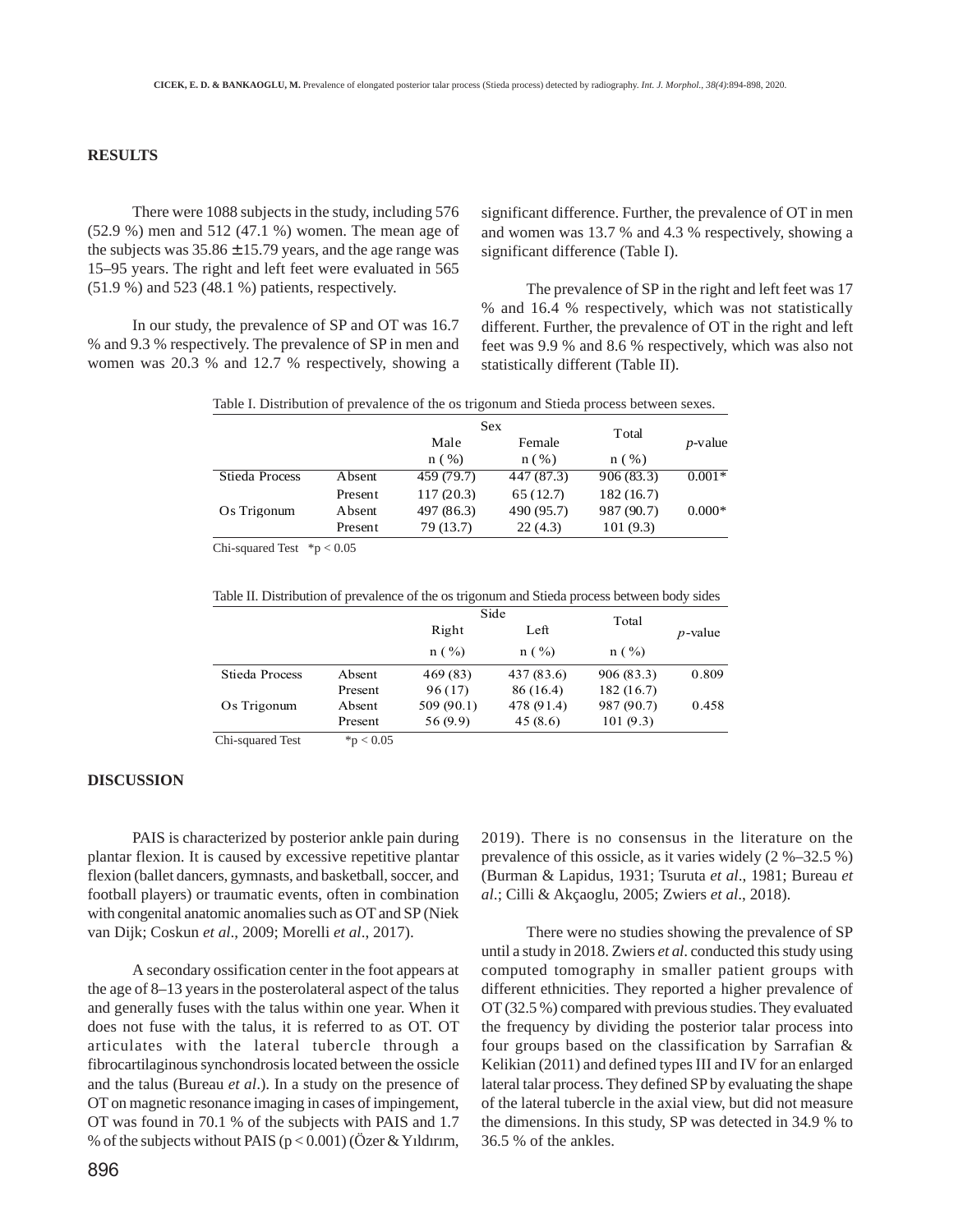# **RESULTS**

There were 1088 subjects in the study, including 576 (52.9 %) men and 512 (47.1 %) women. The mean age of the subjects was  $35.86 \pm 15.79$  years, and the age range was 15–95 years. The right and left feet were evaluated in 565 (51.9 %) and 523 (48.1 %) patients, respectively.

In our study, the prevalence of SP and OT was 16.7 % and 9.3 % respectively. The prevalence of SP in men and women was 20.3 % and 12.7 % respectively, showing a significant difference. Further, the prevalence of OT in men and women was 13.7 % and 4.3 % respectively, showing a significant difference (Table I).

The prevalence of SP in the right and left feet was 17 % and 16.4 % respectively, which was not statistically different. Further, the prevalence of OT in the right and left feet was 9.9 % and 8.6 % respectively, which was also not statistically different (Table II).

Table I. Distribution of prevalence of the os trigonum and Stieda process between sexes.

|                |         | Sex        |            | Total      |            |
|----------------|---------|------------|------------|------------|------------|
|                |         | Male       | Female     | n(%)       | $p$ -value |
|                |         | n(%)       | n(%)       |            |            |
| Stieda Process | Absent  | 459 (79.7) | 447 (87.3) | 906(83.3)  | $0.001*$   |
|                | Present | 117(20.3)  | 65(12.7)   | 182(16.7)  |            |
| Os Trigonum    | Absent  | 497 (86.3) | 490 (95.7) | 987 (90.7) | $0.000*$   |
|                | Present | 79 (13.7)  | 22(4.3)    | 101 (9.3)  |            |

Chi-squared Test  $*p < 0.05$ 

Table II. Distribution of prevalence of the os trigonum and Stieda process between body sides

|                       |              | Side                |                    | Total      |            |
|-----------------------|--------------|---------------------|--------------------|------------|------------|
|                       |              | Right<br>$n ( \% )$ | Left<br>$n ( \% )$ | $n ( \% )$ | $p$ -value |
|                       |              |                     |                    |            |            |
| <b>Stieda Process</b> | Absent       | 469 (83)            | 437 (83.6)         | 906 (83.3) | 0.809      |
|                       | Present      | 96(17)              | 86 (16.4)          | 182(16.7)  |            |
| Os Trigonum           | Absent       | 509 (90.1)          | 478 (91.4)         | 987 (90.7) | 0.458      |
|                       | Present      | 56 (9.9)            | 45(8.6)            | 101(9.3)   |            |
| Chi-squared Test      | * $p < 0.05$ |                     |                    |            |            |

### **DISCUSSION**

PAIS is characterized by posterior ankle pain during plantar flexion. It is caused by excessive repetitive plantar flexion (ballet dancers, gymnasts, and basketball, soccer, and football players) or traumatic events, often in combination with congenital anatomic anomalies such as OT and SP (Niek van Dijk; Coskun *et al*., 2009; Morelli *et al*., 2017).

A secondary ossification center in the foot appears at the age of 8–13 years in the posterolateral aspect of the talus and generally fuses with the talus within one year. When it does not fuse with the talus, it is referred to as OT. OT articulates with the lateral tubercle through a fibrocartilaginous synchondrosis located between the ossicle and the talus (Bureau *et al*.). In a study on the presence of OT on magnetic resonance imaging in cases of impingement, OT was found in 70.1 % of the subjects with PAIS and 1.7 % of the subjects without PAIS ( $p < 0.001$ ) (Özer & Yıldırım, 2019). There is no consensus in the literature on the prevalence of this ossicle, as it varies widely (2 %–32.5 %) (Burman & Lapidus, 1931; Tsuruta *et al*., 1981; Bureau *et al*.; Cilli & Akçaoglu, 2005; Zwiers *et al*., 2018).

There were no studies showing the prevalence of SP until a study in 2018. Zwiers *et al*. conducted this study using computed tomography in smaller patient groups with different ethnicities. They reported a higher prevalence of OT (32.5 %) compared with previous studies. They evaluated the frequency by dividing the posterior talar process into four groups based on the classification by Sarrafian & Kelikian (2011) and defined types III and IV for an enlarged lateral talar process. They defined SP by evaluating the shape of the lateral tubercle in the axial view, but did not measure the dimensions. In this study, SP was detected in 34.9 % to 36.5 % of the ankles.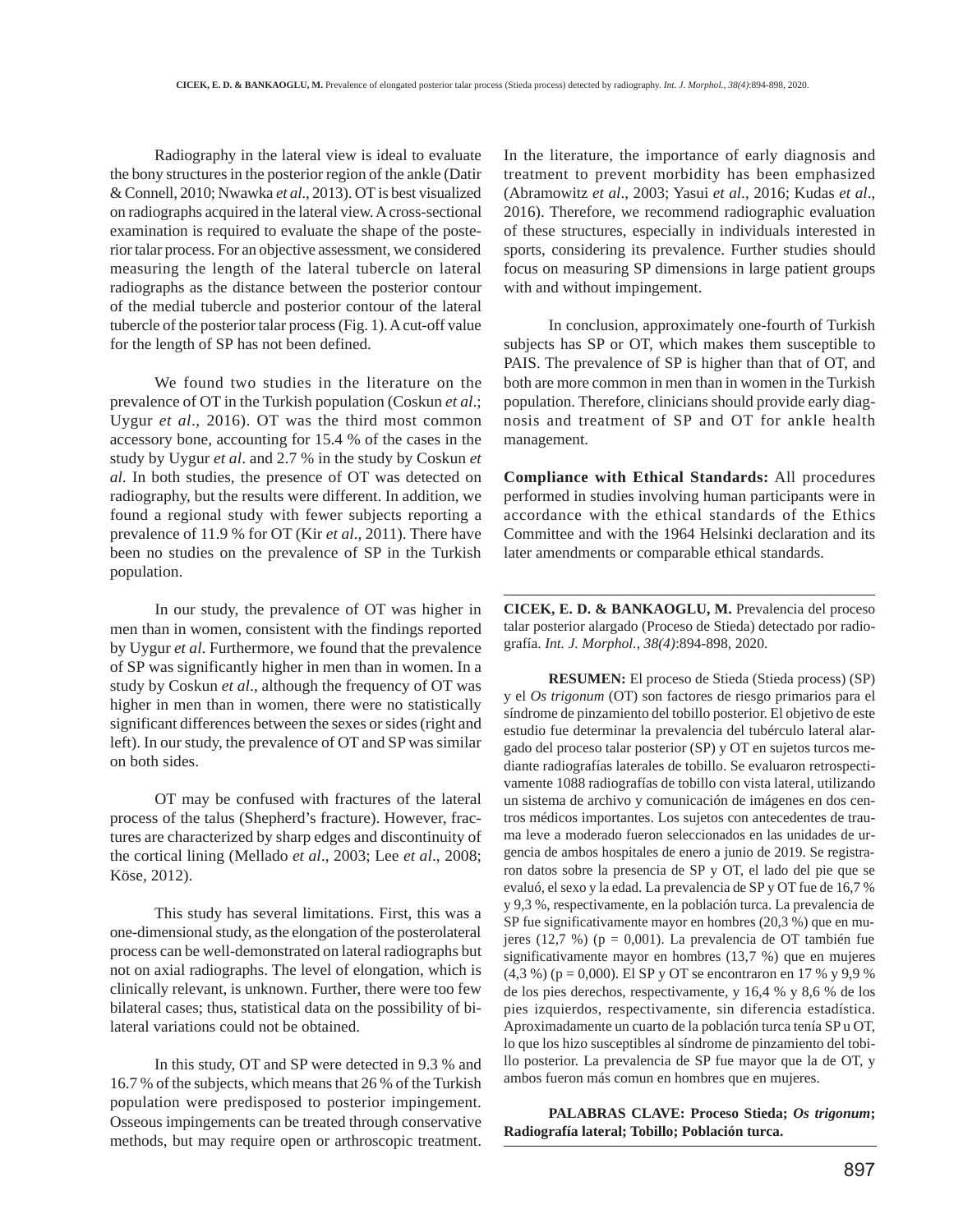Radiography in the lateral view is ideal to evaluate the bony structures in the posterior region of the ankle (Datir & Connell, 2010; Nwawka *et al*., 2013). OT is best visualized on radiographs acquired in the lateral view. A cross-sectional examination is required to evaluate the shape of the posterior talar process. For an objective assessment, we considered measuring the length of the lateral tubercle on lateral radiographs as the distance between the posterior contour of the medial tubercle and posterior contour of the lateral tubercle of the posterior talar process (Fig. 1). A cut-off value for the length of SP has not been defined.

We found two studies in the literature on the prevalence of OT in the Turkish population (Coskun *et al*.; Uygur *et al*., 2016). OT was the third most common accessory bone, accounting for 15.4 % of the cases in the study by Uygur *et al*. and 2.7 % in the study by Coskun *et al*. In both studies, the presence of OT was detected on radiography, but the results were different. In addition, we found a regional study with fewer subjects reporting a prevalence of 11.9 % for OT (Kir *et al*., 2011). There have been no studies on the prevalence of SP in the Turkish population.

In our study, the prevalence of OT was higher in men than in women, consistent with the findings reported by Uygur *et al*. Furthermore, we found that the prevalence of SP was significantly higher in men than in women. In a study by Coskun *et al*., although the frequency of OT was higher in men than in women, there were no statistically significant differences between the sexes or sides (right and left). In our study, the prevalence of OT and SP was similar on both sides.

OT may be confused with fractures of the lateral process of the talus (Shepherd's fracture). However, fractures are characterized by sharp edges and discontinuity of the cortical lining (Mellado *et al*., 2003; Lee *et al*., 2008; Köse, 2012).

This study has several limitations. First, this was a one-dimensional study, as the elongation of the posterolateral process can be well-demonstrated on lateral radiographs but not on axial radiographs. The level of elongation, which is clinically relevant, is unknown. Further, there were too few bilateral cases; thus, statistical data on the possibility of bilateral variations could not be obtained.

In this study, OT and SP were detected in 9.3 % and 16.7 % of the subjects, which means that 26 % of the Turkish population were predisposed to posterior impingement. Osseous impingements can be treated through conservative methods, but may require open or arthroscopic treatment.

In the literature, the importance of early diagnosis and treatment to prevent morbidity has been emphasized (Abramowitz *et al*., 2003; Yasui *et al*., 2016; Kudas *et al*., 2016). Therefore, we recommend radiographic evaluation of these structures, especially in individuals interested in sports, considering its prevalence. Further studies should focus on measuring SP dimensions in large patient groups with and without impingement.

In conclusion, approximately one-fourth of Turkish subjects has SP or OT, which makes them susceptible to PAIS. The prevalence of SP is higher than that of OT, and both are more common in men than in women in the Turkish population. Therefore, clinicians should provide early diagnosis and treatment of SP and OT for ankle health management.

**Compliance with Ethical Standards:** All procedures performed in studies involving human participants were in accordance with the ethical standards of the Ethics Committee and with the 1964 Helsinki declaration and its later amendments or comparable ethical standards.

**CICEK, E. D. & BANKAOGLU, M.** Prevalencia del proceso talar posterior alargado (Proceso de Stieda) detectado por radiografía. *Int. J. Morphol., 38(4)*:894-898, 2020.

**RESUMEN:** El proceso de Stieda (Stieda process) (SP) y el *Os trigonum* (OT) son factores de riesgo primarios para el síndrome de pinzamiento del tobillo posterior. El objetivo de este estudio fue determinar la prevalencia del tubérculo lateral alargado del proceso talar posterior (SP) y OT en sujetos turcos mediante radiografías laterales de tobillo. Se evaluaron retrospectivamente 1088 radiografías de tobillo con vista lateral, utilizando un sistema de archivo y comunicación de imágenes en dos centros médicos importantes. Los sujetos con antecedentes de trauma leve a moderado fueron seleccionados en las unidades de urgencia de ambos hospitales de enero a junio de 2019. Se registraron datos sobre la presencia de SP y OT, el lado del pie que se evaluó, el sexo y la edad. La prevalencia de SP y OT fue de 16,7 % y 9,3 %, respectivamente, en la población turca. La prevalencia de SP fue significativamente mayor en hombres (20,3 %) que en mujeres (12,7 %) ( $p = 0,001$ ). La prevalencia de OT también fue significativamente mayor en hombres (13,7 %) que en mujeres  $(4,3\%)$  (p = 0,000). El SP y OT se encontraron en 17 % y 9,9 % de los pies derechos, respectivamente, y 16,4 % y 8,6 % de los pies izquierdos, respectivamente, sin diferencia estadística. Aproximadamente un cuarto de la población turca tenía SP u OT, lo que los hizo susceptibles al síndrome de pinzamiento del tobillo posterior. La prevalencia de SP fue mayor que la de OT, y ambos fueron más comun en hombres que en mujeres.

**PALABRAS CLAVE: Proceso Stieda;** *Os trigonum***; Radiografía lateral; Tobillo; Población turca.**